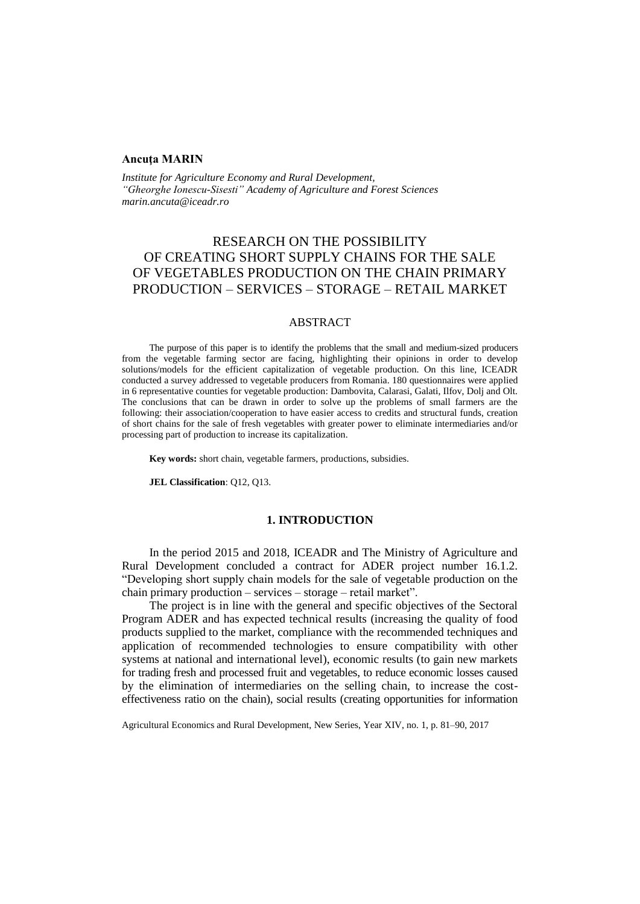#### **Ancuţa MARIN**

*Institute for Agriculture Economy and Rural Development, "Gheorghe Ionescu-Sisesti" Academy of Agriculture and Forest Sciences [marin.ancuta@iceadr.ro](mailto:marin.ancuta@iceadr.ro)*

# RESEARCH ON THE POSSIBILITY OF CREATING SHORT SUPPLY CHAINS FOR THE SALE OF VEGETABLES PRODUCTION ON THE CHAIN PRIMARY PRODUCTION – SERVICES – STORAGE – RETAIL MARKET

# ABSTRACT

The purpose of this paper is to identify the problems that the small and medium-sized producers from the vegetable farming sector are facing, highlighting their opinions in order to develop solutions/models for the efficient capitalization of vegetable production. On this line, ICEADR conducted a survey addressed to vegetable producers from Romania. 180 questionnaires were applied in 6 representative counties for vegetable production: Dambovita, Calarasi, Galati, Ilfov, Dolj and Olt. The conclusions that can be drawn in order to solve up the problems of small farmers are the following: their association/cooperation to have easier access to credits and structural funds, creation of short chains for the sale of fresh vegetables with greater power to eliminate intermediaries and/or processing part of production to increase its capitalization.

**Key words:** short chain, vegetable farmers, productions, subsidies.

**JEL Classification**: Q12, Q13.

### **1. INTRODUCTION**

In the period 2015 and 2018, ICEADR and The Ministry of Agriculture and Rural Development concluded a contract for ADER project number 16.1.2. "Developing short supply chain models for the sale of vegetable production on the chain primary production – services – storage – retail market".

The project is in line with the general and specific objectives of the Sectoral Program ADER and has expected technical results (increasing the quality of food products supplied to the market, compliance with the recommended techniques and application of recommended technologies to ensure compatibility with other systems at national and international level), economic results (to gain new markets for trading fresh and processed fruit and vegetables, to reduce economic losses caused by the elimination of intermediaries on the selling chain, to increase the costeffectiveness ratio on the chain), social results (creating opportunities for information

Agricultural Economics and Rural Development, New Series, Year XIV, no. 1, p. 81–90, 2017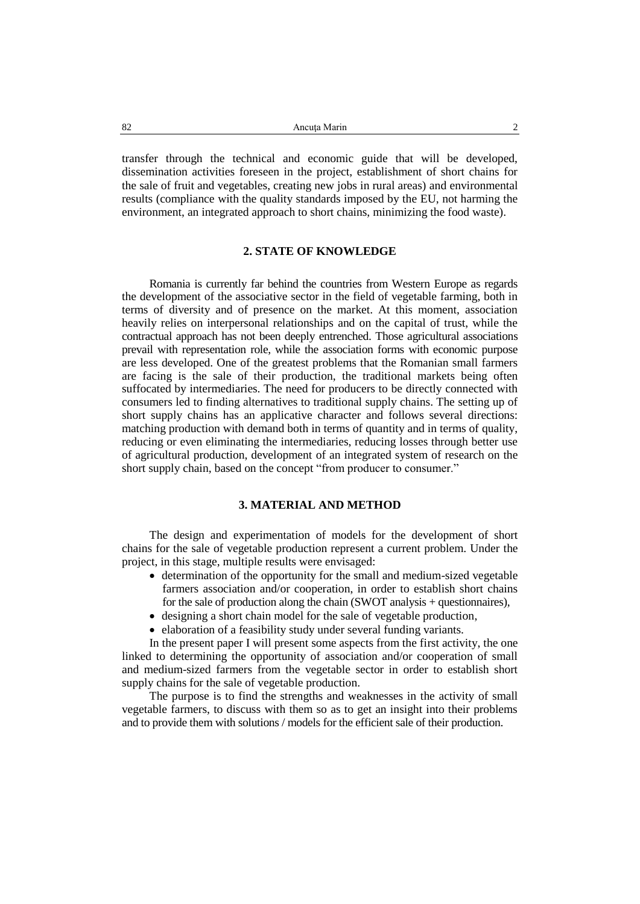transfer through the technical and economic guide that will be developed, dissemination activities foreseen in the project, establishment of short chains for the sale of fruit and vegetables, creating new jobs in rural areas) and environmental results (compliance with the quality standards imposed by the EU, not harming the environment, an integrated approach to short chains, minimizing the food waste).

## **2. STATE OF KNOWLEDGE**

Romania is currently far behind the countries from Western Europe as regards the development of the associative sector in the field of vegetable farming, both in terms of diversity and of presence on the market. At this moment, association heavily relies on interpersonal relationships and on the capital of trust, while the contractual approach has not been deeply entrenched. Those agricultural associations prevail with representation role, while the association forms with economic purpose are less developed. One of the greatest problems that the Romanian small farmers are facing is the sale of their production, the traditional markets being often suffocated by intermediaries. The need for producers to be directly connected with consumers led to finding alternatives to traditional supply chains. The setting up of short supply chains has an applicative character and follows several directions: matching production with demand both in terms of quantity and in terms of quality, reducing or even eliminating the intermediaries, reducing losses through better use of agricultural production, development of an integrated system of research on the short supply chain, based on the concept "from producer to consumer."

# **3. MATERIAL AND METHOD**

The design and experimentation of models for the development of short chains for the sale of vegetable production represent a current problem. Under the project, in this stage, multiple results were envisaged:

- determination of the opportunity for the small and medium-sized vegetable farmers association and/or cooperation, in order to establish short chains for the sale of production along the chain (SWOT analysis + questionnaires),
- designing a short chain model for the sale of vegetable production,
- elaboration of a feasibility study under several funding variants.

In the present paper I will present some aspects from the first activity, the one linked to determining the opportunity of association and/or cooperation of small and medium-sized farmers from the vegetable sector in order to establish short supply chains for the sale of vegetable production.

The purpose is to find the strengths and weaknesses in the activity of small vegetable farmers, to discuss with them so as to get an insight into their problems and to provide them with solutions / models for the efficient sale of their production.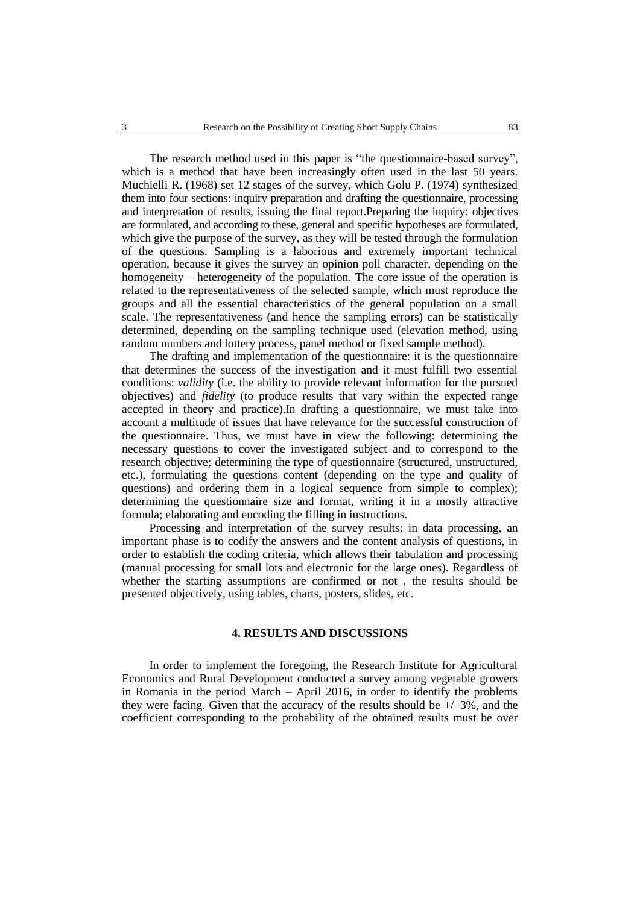The research method used in this paper is "the questionnaire-based survey", which is a method that have been increasingly often used in the last 50 years. Muchielli R. (1968) set 12 stages of the survey, which Golu P. (1974) synthesized them into four sections: inquiry preparation and drafting the questionnaire, processing and interpretation of results, issuing the final report.Preparing the inquiry: objectives are formulated, and according to these, general and specific hypotheses are formulated, which give the purpose of the survey, as they will be tested through the formulation of the questions. Sampling is a laborious and extremely important technical operation, because it gives the survey an opinion poll character, depending on the homogeneity – heterogeneity of the population. The core issue of the operation is related to the representativeness of the selected sample, which must reproduce the groups and all the essential characteristics of the general population on a small scale. The representativeness (and hence the sampling errors) can be statistically determined, depending on the sampling technique used (elevation method, using random numbers and lottery process, panel method or fixed sample method).

The drafting and implementation of the questionnaire: it is the questionnaire that determines the success of the investigation and it must fulfill two essential conditions: *validity* (i.e. the ability to provide relevant information for the pursued objectives) and *fidelity* (to produce results that vary within the expected range accepted in theory and practice).In drafting a questionnaire, we must take into account a multitude of issues that have relevance for the successful construction of the questionnaire. Thus, we must have in view the following: determining the necessary questions to cover the investigated subject and to correspond to the research objective; determining the type of questionnaire (structured, unstructured, etc.), formulating the questions content (depending on the type and quality of questions) and ordering them in a logical sequence from simple to complex); determining the questionnaire size and format, writing it in a mostly attractive formula; elaborating and encoding the filling in instructions.

Processing and interpretation of the survey results: in data processing, an important phase is to codify the answers and the content analysis of questions, in order to establish the coding criteria, which allows their tabulation and processing (manual processing for small lots and electronic for the large ones). Regardless of whether the starting assumptions are confirmed or not , the results should be presented objectively, using tables, charts, posters, slides, etc.

#### **4. RESULTS AND DISCUSSIONS**

In order to implement the foregoing, the Research Institute for Agricultural Economics and Rural Development conducted a survey among vegetable growers in Romania in the period March – April 2016, in order to identify the problems they were facing. Given that the accuracy of the results should be  $+/-3\%$ , and the coefficient corresponding to the probability of the obtained results must be over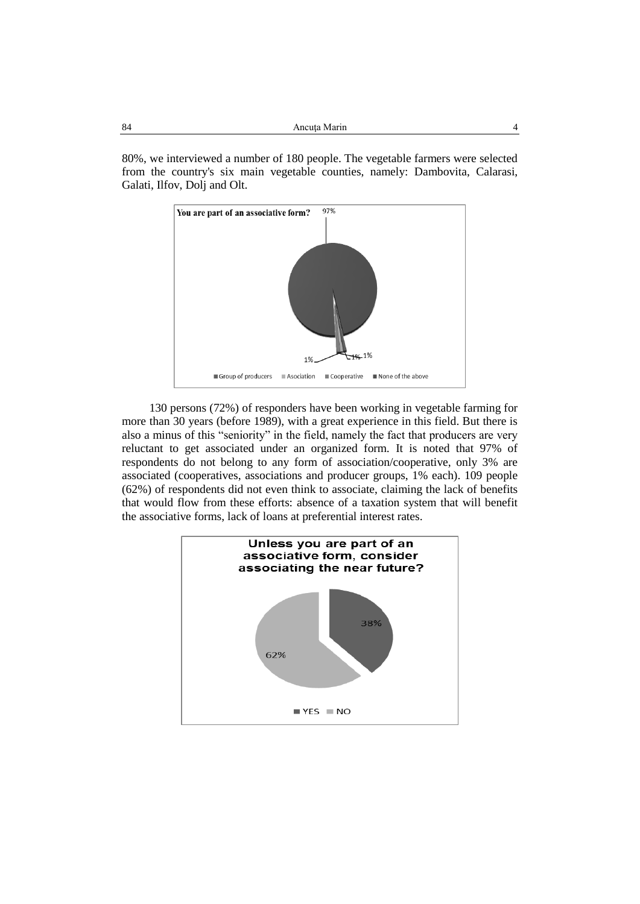80%, we interviewed a number of 180 people. The vegetable farmers were selected from the country's six main vegetable counties, namely: Dambovita, Calarasi, Galati, Ilfov, Dolj and Olt.



130 persons (72%) of responders have been working in vegetable farming for more than 30 years (before 1989), with a great experience in this field. But there is also a minus of this "seniority" in the field, namely the fact that producers are very reluctant to get associated under an organized form. It is noted that 97% of respondents do not belong to any form of association/cooperative, only 3% are associated (cooperatives, associations and producer groups, 1% each). 109 people (62%) of respondents did not even think to associate, claiming the lack of benefits that would flow from these efforts: absence of a taxation system that will benefit the associative forms, lack of loans at preferential interest rates.

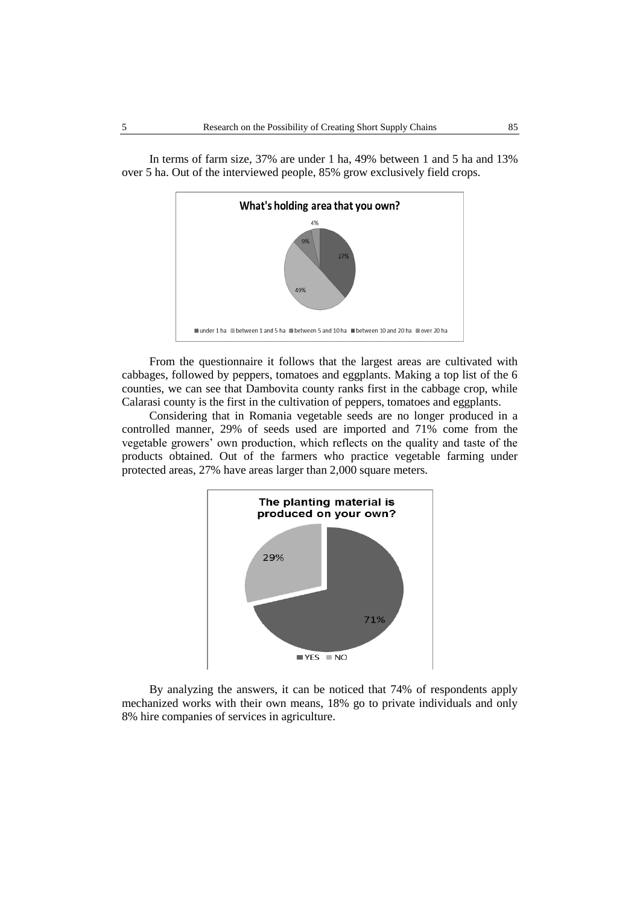

In terms of farm size, 37% are under 1 ha, 49% between 1 and 5 ha and 13% over 5 ha. Out of the interviewed people, 85% grow exclusively field crops.

From the questionnaire it follows that the largest areas are cultivated with cabbages, followed by peppers, tomatoes and eggplants. Making a top list of the 6 counties, we can see that Dambovita county ranks first in the cabbage crop, while Calarasi county is the first in the cultivation of peppers, tomatoes and eggplants.

Considering that in Romania vegetable seeds are no longer produced in a controlled manner, 29% of seeds used are imported and 71% come from the vegetable growers' own production, which reflects on the quality and taste of the products obtained. Out of the farmers who practice vegetable farming under protected areas, 27% have areas larger than 2,000 square meters.



By analyzing the answers, it can be noticed that 74% of respondents apply mechanized works with their own means, 18% go to private individuals and only 8% hire companies of services in agriculture.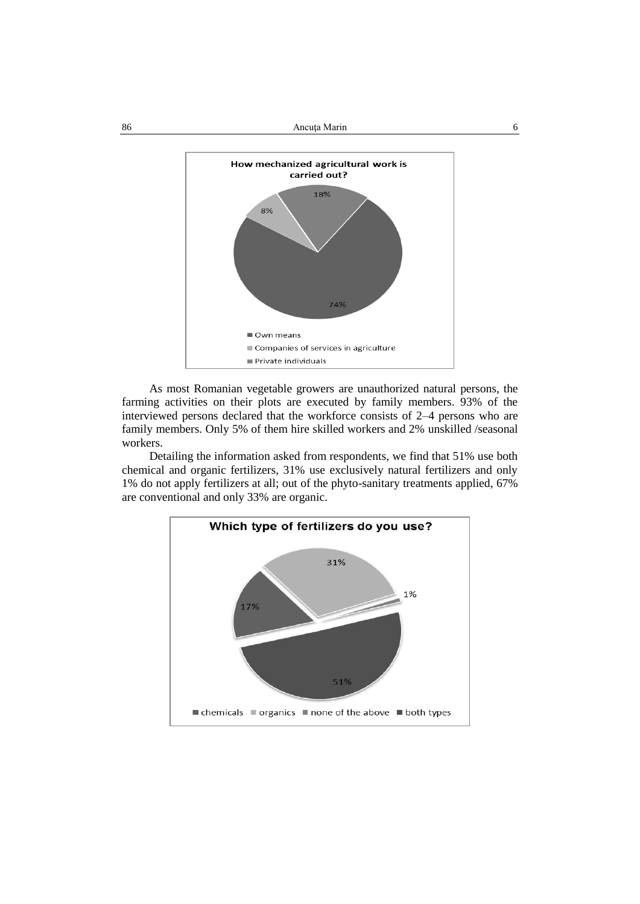86 Ancuţa Marin 6



As most Romanian vegetable growers are unauthorized natural persons, the farming activities on their plots are executed by family members. 93% of the interviewed persons declared that the workforce consists of 2–4 persons who are family members. Only 5% of them hire skilled workers and 2% unskilled /seasonal workers.

Detailing the information asked from respondents, we find that 51% use both chemical and organic fertilizers, 31% use exclusively natural fertilizers and only 1% do not apply fertilizers at all; out of the phyto-sanitary treatments applied, 67% are conventional and only 33% are organic.

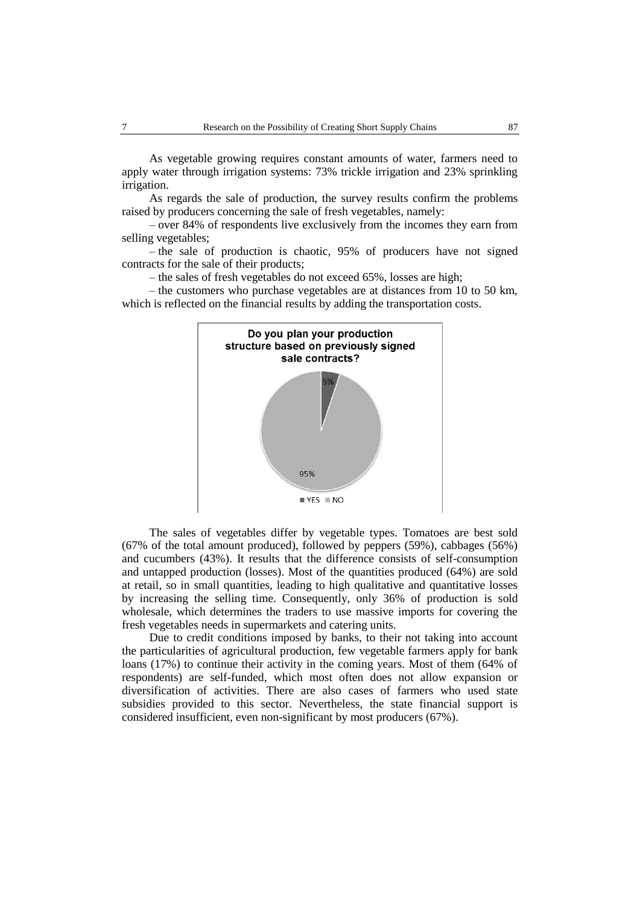As vegetable growing requires constant amounts of water, farmers need to apply water through irrigation systems: 73% trickle irrigation and 23% sprinkling irrigation.

As regards the sale of production, the survey results confirm the problems raised by producers concerning the sale of fresh vegetables, namely:

– over 84% of respondents live exclusively from the incomes they earn from selling vegetables;

– the sale of production is chaotic, 95% of producers have not signed contracts for the sale of their products;

– the sales of fresh vegetables do not exceed 65%, losses are high;

– the customers who purchase vegetables are at distances from 10 to 50 km, which is reflected on the financial results by adding the transportation costs.



The sales of vegetables differ by vegetable types. Tomatoes are best sold (67% of the total amount produced), followed by peppers (59%), cabbages (56%) and cucumbers (43%). It results that the difference consists of self-consumption and untapped production (losses). Most of the quantities produced (64%) are sold at retail, so in small quantities, leading to high qualitative and quantitative losses by increasing the selling time. Consequently, only 36% of production is sold wholesale, which determines the traders to use massive imports for covering the fresh vegetables needs in supermarkets and catering units.

Due to credit conditions imposed by banks, to their not taking into account the particularities of agricultural production, few vegetable farmers apply for bank loans (17%) to continue their activity in the coming years. Most of them (64% of respondents) are self-funded, which most often does not allow expansion or diversification of activities. There are also cases of farmers who used state subsidies provided to this sector. Nevertheless, the state financial support is considered insufficient, even non-significant by most producers (67%).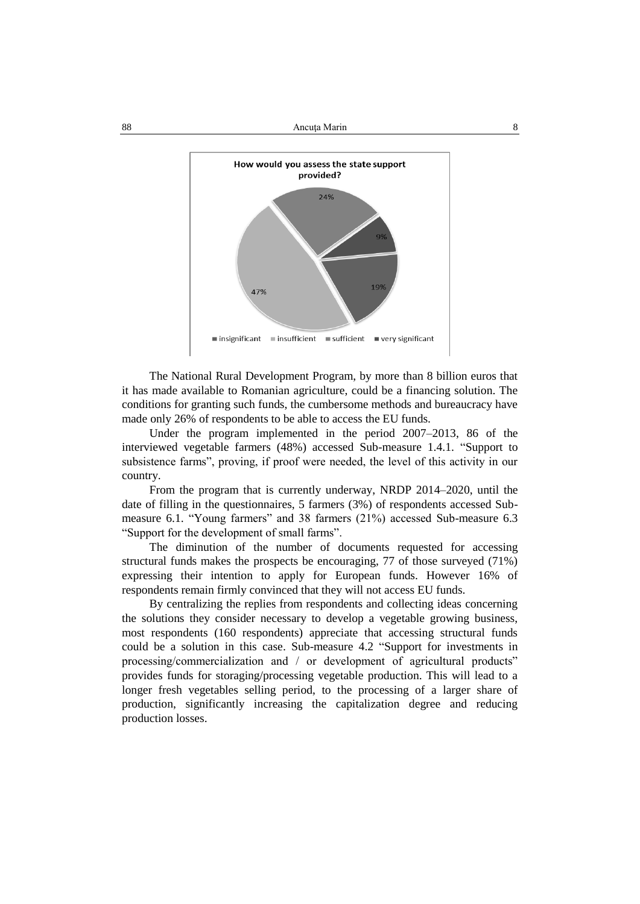88 Ancuta Marin 8



The National Rural Development Program, by more than 8 billion euros that it has made available to Romanian agriculture, could be a financing solution. The conditions for granting such funds, the cumbersome methods and bureaucracy have made only 26% of respondents to be able to access the EU funds.

Under the program implemented in the period 2007–2013, 86 of the interviewed vegetable farmers (48%) accessed Sub-measure 1.4.1. "Support to subsistence farms", proving, if proof were needed, the level of this activity in our country.

From the program that is currently underway, NRDP 2014–2020, until the date of filling in the questionnaires, 5 farmers (3%) of respondents accessed Submeasure 6.1. "Young farmers" and 38 farmers (21%) accessed Sub-measure 6.3 "Support for the development of small farms".

The diminution of the number of documents requested for accessing structural funds makes the prospects be encouraging, 77 of those surveyed (71%) expressing their intention to apply for European funds. However 16% of respondents remain firmly convinced that they will not access EU funds.

By centralizing the replies from respondents and collecting ideas concerning the solutions they consider necessary to develop a vegetable growing business, most respondents (160 respondents) appreciate that accessing structural funds could be a solution in this case. Sub-measure 4.2 "Support for investments in processing/commercialization and / or development of agricultural products" provides funds for storaging/processing vegetable production. This will lead to a longer fresh vegetables selling period, to the processing of a larger share of production, significantly increasing the capitalization degree and reducing production losses.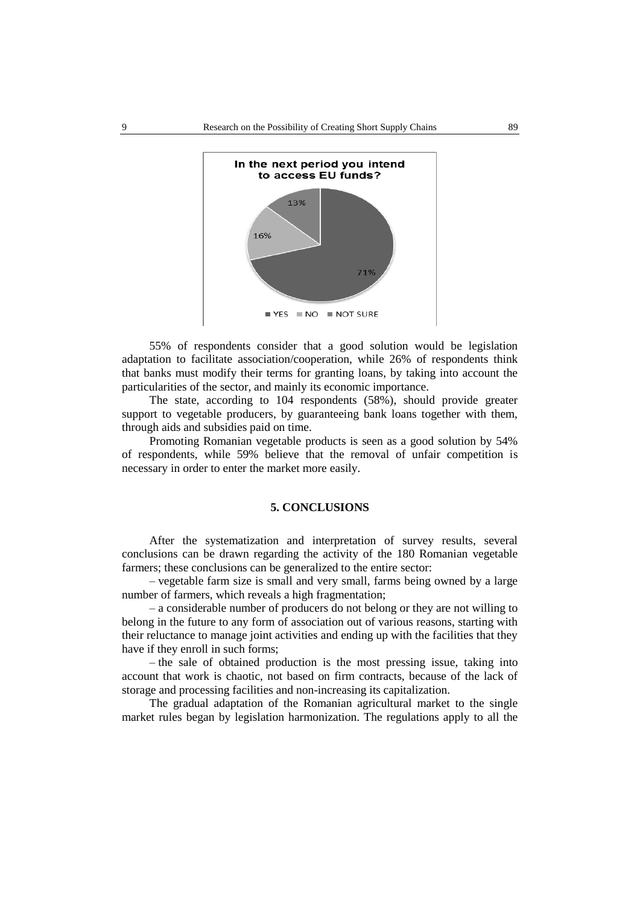

55% of respondents consider that a good solution would be legislation adaptation to facilitate association/cooperation, while 26% of respondents think that banks must modify their terms for granting loans, by taking into account the particularities of the sector, and mainly its economic importance.

The state, according to 104 respondents (58%), should provide greater support to vegetable producers, by guaranteeing bank loans together with them, through aids and subsidies paid on time.

Promoting Romanian vegetable products is seen as a good solution by 54% of respondents, while 59% believe that the removal of unfair competition is necessary in order to enter the market more easily.

# **5. CONCLUSIONS**

After the systematization and interpretation of survey results, several conclusions can be drawn regarding the activity of the 180 Romanian vegetable farmers; these conclusions can be generalized to the entire sector:

– vegetable farm size is small and very small, farms being owned by a large number of farmers, which reveals a high fragmentation;

– a considerable number of producers do not belong or they are not willing to belong in the future to any form of association out of various reasons, starting with their reluctance to manage joint activities and ending up with the facilities that they have if they enroll in such forms;

– the sale of obtained production is the most pressing issue, taking into account that work is chaotic, not based on firm contracts, because of the lack of storage and processing facilities and non-increasing its capitalization.

The gradual adaptation of the Romanian agricultural market to the single market rules began by legislation harmonization. The regulations apply to all the